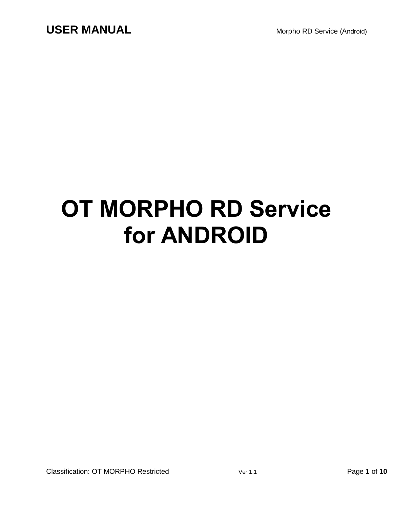# **OT MORPHO RD Service for ANDROID**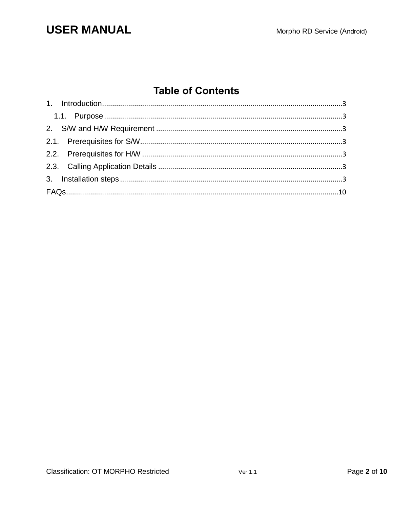## **USER MANUAL**

## **Table of Contents**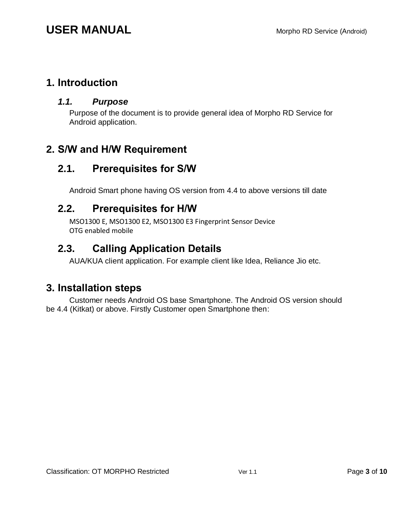#### <span id="page-2-1"></span><span id="page-2-0"></span>**1. Introduction**

#### *1.1. Purpose*

Purpose of the document is to provide general idea of Morpho RD Service for Android application.

#### <span id="page-2-3"></span><span id="page-2-2"></span>**2. S/W and H/W Requirement**

#### **2.1. Prerequisites for S/W**

Android Smart phone having OS version from 4.4 to above versions till date

#### <span id="page-2-4"></span>**2.2. Prerequisites for H/W**

MSO1300 E, MSO1300 E2, MSO1300 E3 Fingerprint Sensor Device OTG enabled mobile

#### <span id="page-2-5"></span>**2.3. Calling Application Details**

AUA/KUA client application. For example client like Idea, Reliance Jio etc.

#### <span id="page-2-6"></span>**3. Installation steps**

Customer needs Android OS base Smartphone. The Android OS version should be 4.4 (Kitkat) or above. Firstly Customer open Smartphone then: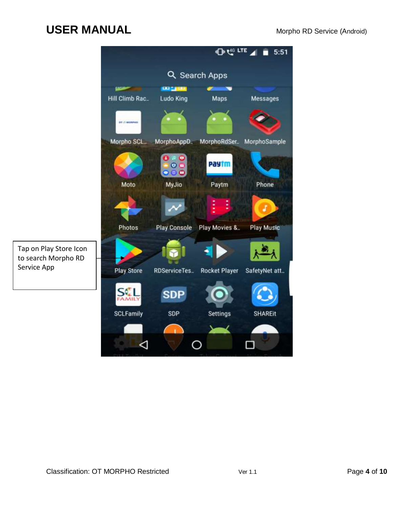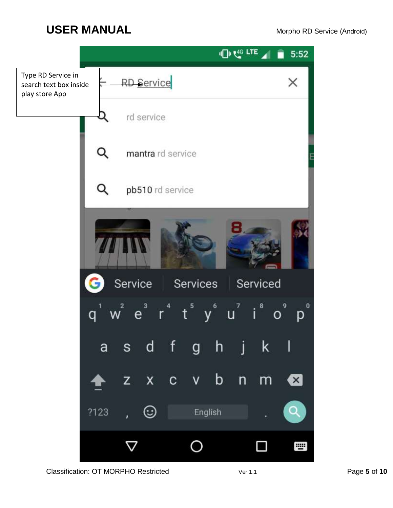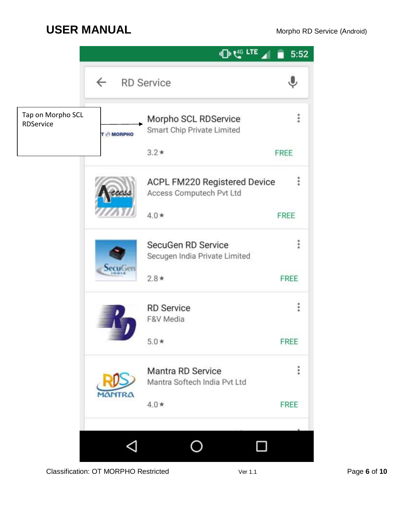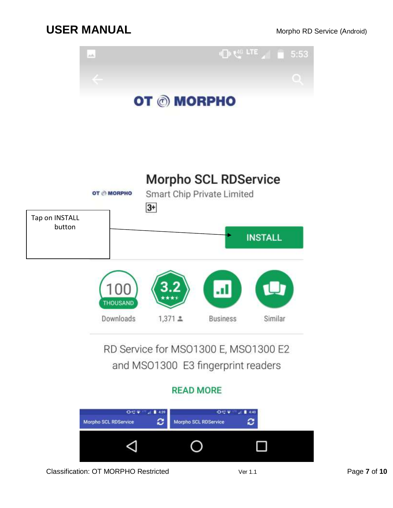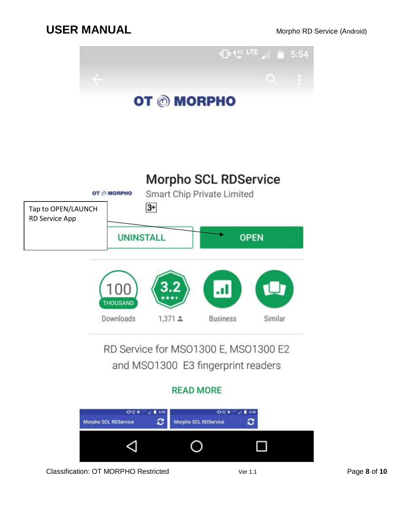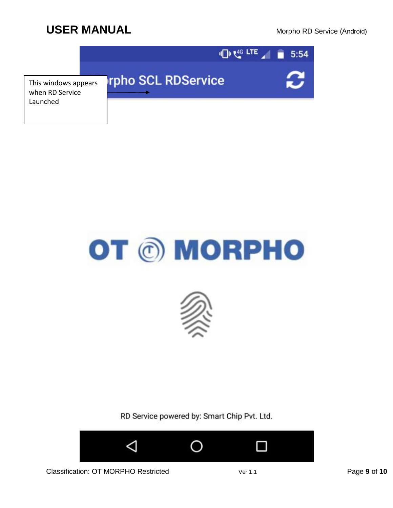





RD Service powered by: Smart Chip Pvt. Ltd.